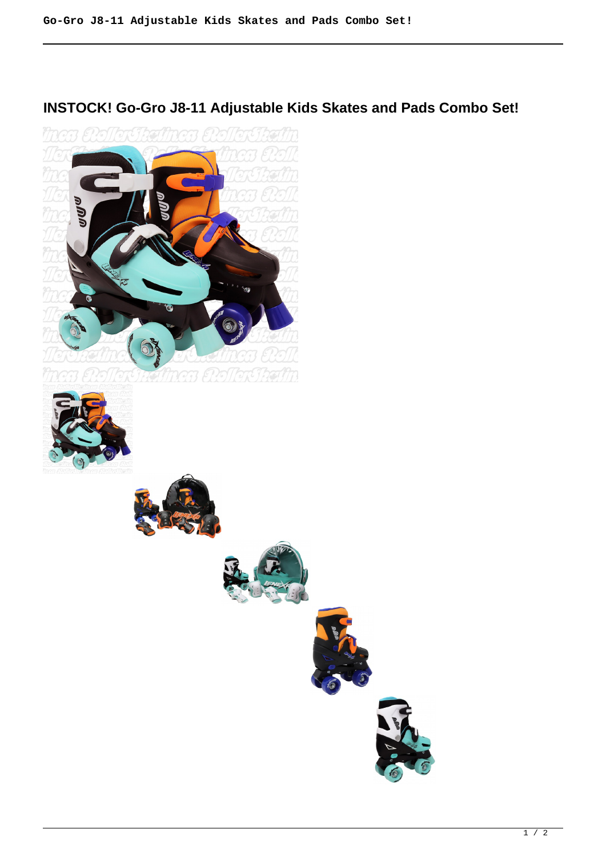## **INSTOCK! Go-Gro J8-11 Adjustable Kids Skates and Pads Combo Set!**